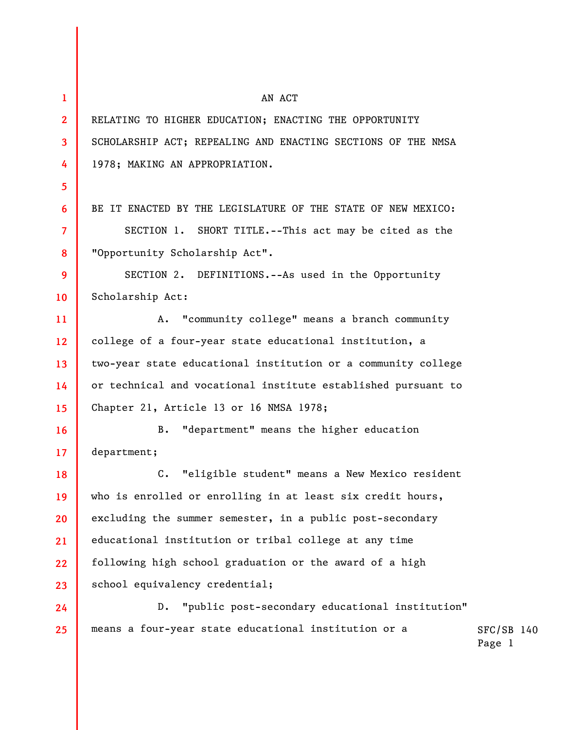| $\mathbf{1}$    | AN ACT                                                          |                        |  |
|-----------------|-----------------------------------------------------------------|------------------------|--|
| $\mathbf{2}$    | RELATING TO HIGHER EDUCATION; ENACTING THE OPPORTUNITY          |                        |  |
| 3               | SCHOLARSHIP ACT; REPEALING AND ENACTING SECTIONS OF THE NMSA    |                        |  |
| 4               | 1978; MAKING AN APPROPRIATION.                                  |                        |  |
| 5               |                                                                 |                        |  |
| 6               | BE IT ENACTED BY THE LEGISLATURE OF THE STATE OF NEW MEXICO:    |                        |  |
| $\overline{7}$  | SECTION 1. SHORT TITLE.--This act may be cited as the           |                        |  |
| 8               | "Opportunity Scholarship Act".                                  |                        |  |
| 9               | SECTION 2. DEFINITIONS.--As used in the Opportunity             |                        |  |
| 10              | Scholarship Act:                                                |                        |  |
| 11              | "community college" means a branch community<br>Α.              |                        |  |
| 12 <sup>°</sup> | college of a four-year state educational institution, a         |                        |  |
| 13              | two-year state educational institution or a community college   |                        |  |
| 14              | or technical and vocational institute established pursuant to   |                        |  |
| 15              | Chapter 21, Article 13 or 16 NMSA 1978;                         |                        |  |
| 16              | "department" means the higher education<br><b>B.</b>            |                        |  |
| 17              | department;                                                     |                        |  |
| 18              | $c_{\bullet}$<br>"eligible student" means a New Mexico resident |                        |  |
| 19              | who is enrolled or enrolling in at least six credit hours,      |                        |  |
| 20              | excluding the summer semester, in a public post-secondary       |                        |  |
| 21              | educational institution or tribal college at any time           |                        |  |
| 22              | following high school graduation or the award of a high         |                        |  |
| 23              | school equivalency credential;                                  |                        |  |
| 24              | "public post-secondary educational institution"<br>$D$ .        |                        |  |
| 25              | means a four-year state educational institution or a            | $SFC/SB$ 140<br>Page 1 |  |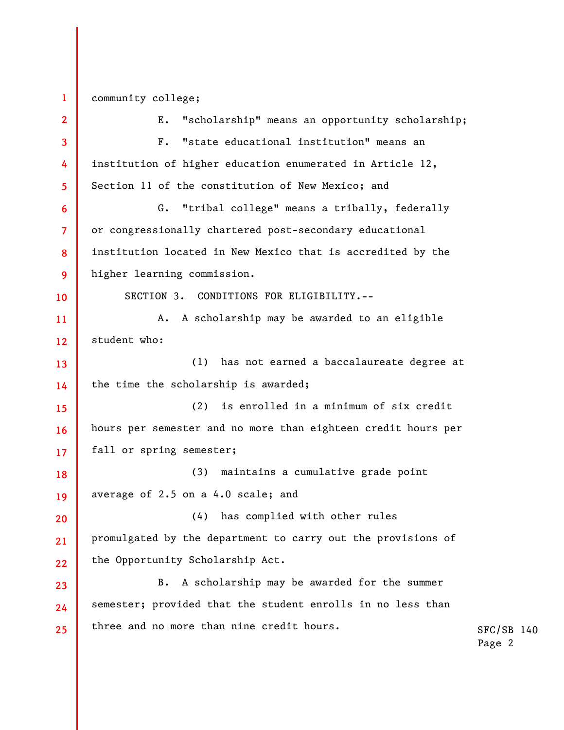| $\mathbf{1}$ | community college;                                            |  |  |
|--------------|---------------------------------------------------------------|--|--|
| $\mathbf{2}$ | "scholarship" means an opportunity scholarship;<br>Ε.         |  |  |
| 3            | "state educational institution" means an<br>$F_{\bullet}$     |  |  |
| 4            | institution of higher education enumerated in Article 12,     |  |  |
| 5.           | Section 11 of the constitution of New Mexico; and             |  |  |
| 6            | "tribal college" means a tribally, federally<br>G.            |  |  |
| 7            | or congressionally chartered post-secondary educational       |  |  |
| 8            | institution located in New Mexico that is accredited by the   |  |  |
| 9            | higher learning commission.                                   |  |  |
| 10           | SECTION 3. CONDITIONS FOR ELIGIBILITY.--                      |  |  |
| 11           | A scholarship may be awarded to an eligible<br>Α.             |  |  |
| 12           | student who:                                                  |  |  |
| 13           | (1) has not earned a baccalaureate degree at                  |  |  |
| 14           | the time the scholarship is awarded;                          |  |  |
| 15           | is enrolled in a minimum of six credit<br>(2)                 |  |  |
| 16           | hours per semester and no more than eighteen credit hours per |  |  |
| 17           | fall or spring semester;                                      |  |  |
| 18           | (3) maintains a cumulative grade point                        |  |  |
| 19           | average of 2.5 on a 4.0 scale; and                            |  |  |
| 20           | (4) has complied with other rules                             |  |  |
| 21           | promulgated by the department to carry out the provisions of  |  |  |
| 22           | the Opportunity Scholarship Act.                              |  |  |
| 23           | A scholarship may be awarded for the summer<br>B.             |  |  |
| 24           | semester; provided that the student enrolls in no less than   |  |  |
| 25           | three and no more than nine credit hours.                     |  |  |
|              |                                                               |  |  |

SFC/SB 140 Page 2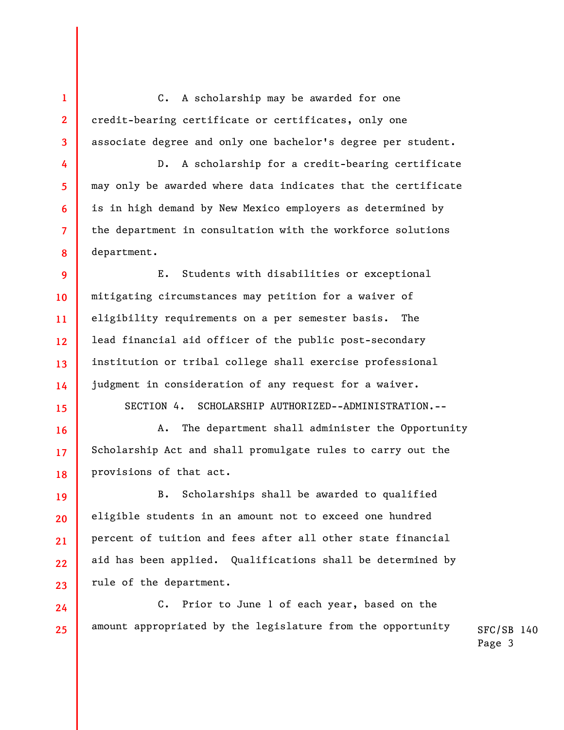C. A scholarship may be awarded for one credit-bearing certificate or certificates, only one associate degree and only one bachelor's degree per student.

**1** 

**2** 

**3** 

**4** 

**5** 

**6** 

**7** 

**8** 

**15** 

**16** 

**17** 

**18** 

**19** 

**20** 

**21** 

**22** 

**23** 

D. A scholarship for a credit-bearing certificate may only be awarded where data indicates that the certificate is in high demand by New Mexico employers as determined by the department in consultation with the workforce solutions department.

**9 10 11 12 13 14**  E. Students with disabilities or exceptional mitigating circumstances may petition for a waiver of eligibility requirements on a per semester basis. The lead financial aid officer of the public post-secondary institution or tribal college shall exercise professional judgment in consideration of any request for a waiver.

SECTION 4. SCHOLARSHIP AUTHORIZED--ADMINISTRATION.--

A. The department shall administer the Opportunity Scholarship Act and shall promulgate rules to carry out the provisions of that act.

B. Scholarships shall be awarded to qualified eligible students in an amount not to exceed one hundred percent of tuition and fees after all other state financial aid has been applied. Qualifications shall be determined by rule of the department.

SFC/SB 140 **24 25**  C. Prior to June 1 of each year, based on the amount appropriated by the legislature from the opportunity

Page 3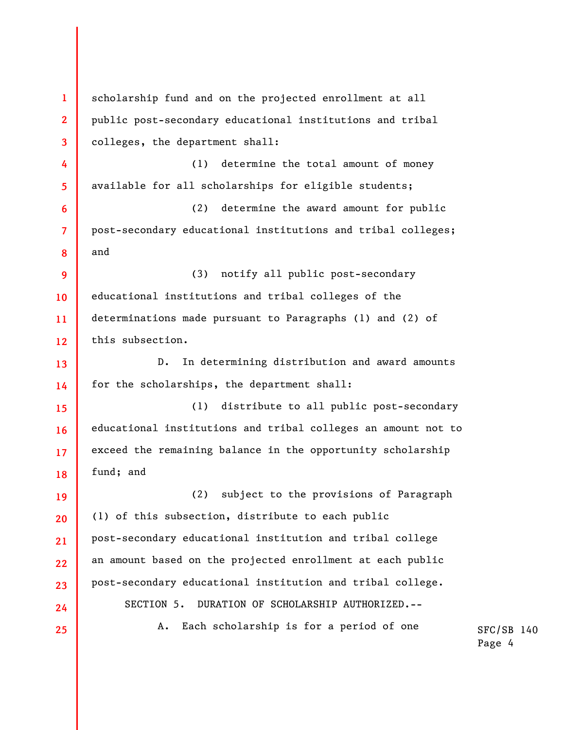**1 2 3 4 5 6 7 8 9 10 11 12 13 14 15 16 17 18 19 20 21 22 23 24 25**  scholarship fund and on the projected enrollment at all public post-secondary educational institutions and tribal colleges, the department shall: (1) determine the total amount of money available for all scholarships for eligible students; (2) determine the award amount for public post-secondary educational institutions and tribal colleges; and (3) notify all public post-secondary educational institutions and tribal colleges of the determinations made pursuant to Paragraphs (1) and (2) of this subsection. D. In determining distribution and award amounts for the scholarships, the department shall: (1) distribute to all public post-secondary educational institutions and tribal colleges an amount not to exceed the remaining balance in the opportunity scholarship fund; and (2) subject to the provisions of Paragraph (1) of this subsection, distribute to each public post-secondary educational institution and tribal college an amount based on the projected enrollment at each public post-secondary educational institution and tribal college. SECTION 5. DURATION OF SCHOLARSHIP AUTHORIZED.-- A. Each scholarship is for a period of one

SFC/SB 140 Page 4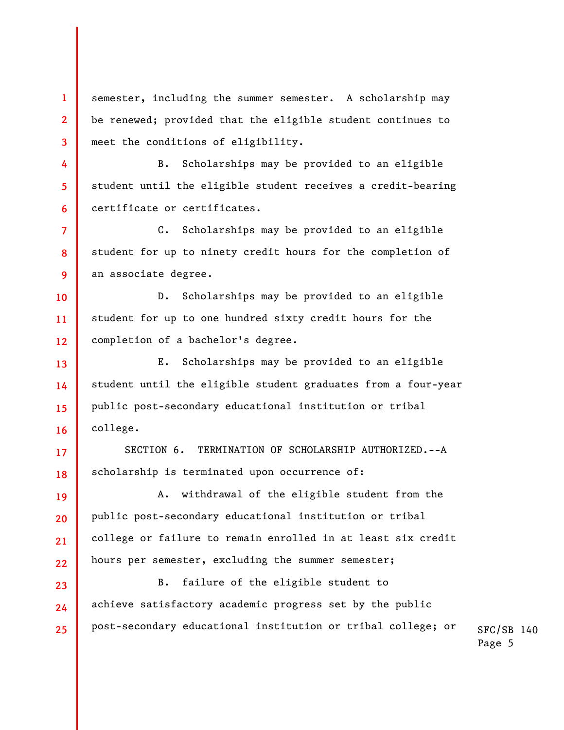semester, including the summer semester. A scholarship may be renewed; provided that the eligible student continues to meet the conditions of eligibility.

**1** 

**2** 

**3** 

**4** 

**5** 

**6** 

**10** 

**11** 

**12** 

**13** 

**14** 

**15** 

**16** 

**17** 

**18** 

**19** 

**20** 

**21** 

**22** 

**23** 

**24** 

**25** 

B. Scholarships may be provided to an eligible student until the eligible student receives a credit-bearing certificate or certificates.

**7 8 9**  C. Scholarships may be provided to an eligible student for up to ninety credit hours for the completion of an associate degree.

D. Scholarships may be provided to an eligible student for up to one hundred sixty credit hours for the completion of a bachelor's degree.

E. Scholarships may be provided to an eligible student until the eligible student graduates from a four-year public post-secondary educational institution or tribal college.

SECTION 6. TERMINATION OF SCHOLARSHIP AUTHORIZED.--A scholarship is terminated upon occurrence of:

A. withdrawal of the eligible student from the public post-secondary educational institution or tribal college or failure to remain enrolled in at least six credit hours per semester, excluding the summer semester;

SFC/SB 140 B. failure of the eligible student to achieve satisfactory academic progress set by the public post-secondary educational institution or tribal college; or

Page 5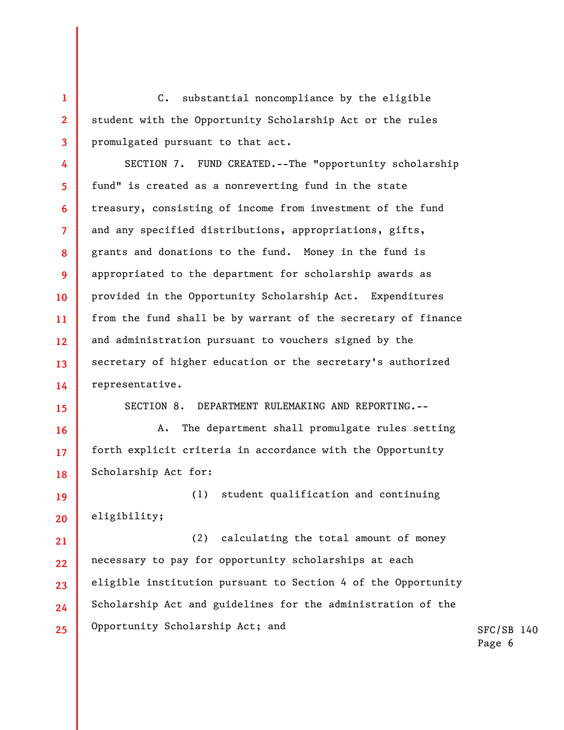**3**  C. substantial noncompliance by the eligible student with the Opportunity Scholarship Act or the rules promulgated pursuant to that act.

**4 5 6 7 8 9 10 11 12 13 14**  SECTION 7. FUND CREATED.--The "opportunity scholarship fund" is created as a nonreverting fund in the state treasury, consisting of income from investment of the fund and any specified distributions, appropriations, gifts, grants and donations to the fund. Money in the fund is appropriated to the department for scholarship awards as provided in the Opportunity Scholarship Act. Expenditures from the fund shall be by warrant of the secretary of finance and administration pursuant to vouchers signed by the secretary of higher education or the secretary's authorized representative.

**15** 

**16** 

**17** 

**18** 

**1** 

**2** 

SECTION 8. DEPARTMENT RULEMAKING AND REPORTING.--

A. The department shall promulgate rules setting forth explicit criteria in accordance with the Opportunity Scholarship Act for:

**19 20**  (1) student qualification and continuing eligibility;

**21 22 23 24 25**  (2) calculating the total amount of money necessary to pay for opportunity scholarships at each eligible institution pursuant to Section 4 of the Opportunity Scholarship Act and guidelines for the administration of the Opportunity Scholarship Act; and

SFC/SB 140 Page 6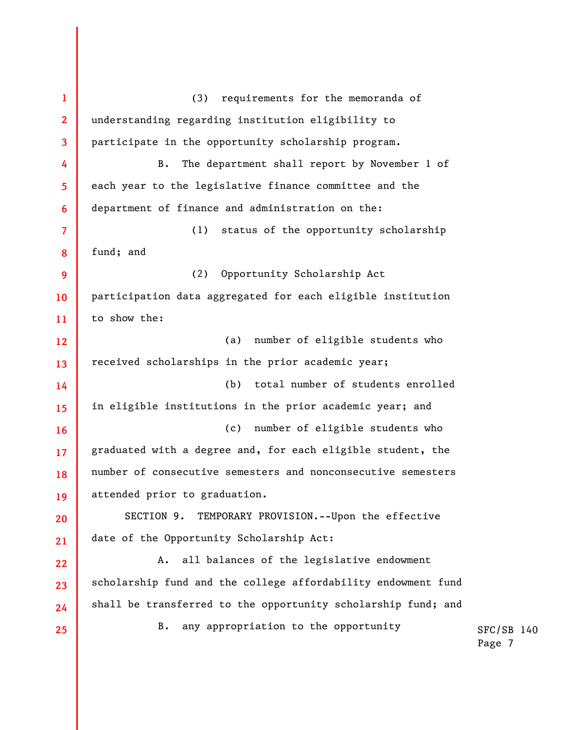**1 2 3 4 5 6 7 8 9 10 11 12 13 14 15 16 17 18 19 20 21 22 23 24 25**  (3) requirements for the memoranda of understanding regarding institution eligibility to participate in the opportunity scholarship program. B. The department shall report by November 1 of each year to the legislative finance committee and the department of finance and administration on the: (1) status of the opportunity scholarship fund; and (2) Opportunity Scholarship Act participation data aggregated for each eligible institution to show the: (a) number of eligible students who received scholarships in the prior academic year; (b) total number of students enrolled in eligible institutions in the prior academic year; and (c) number of eligible students who graduated with a degree and, for each eligible student, the number of consecutive semesters and nonconsecutive semesters attended prior to graduation. SECTION 9. TEMPORARY PROVISION.--Upon the effective date of the Opportunity Scholarship Act: A. all balances of the legislative endowment scholarship fund and the college affordability endowment fund shall be transferred to the opportunity scholarship fund; and B. any appropriation to the opportunity

SFC/SB 140

Page 7